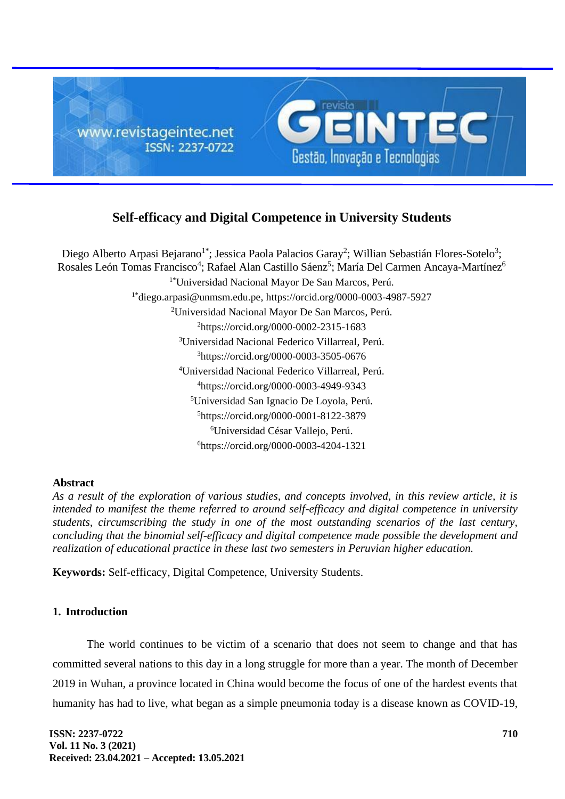

# **Self-efficacy and Digital Competence in University Students**

Diego Alberto Arpasi Bejarano<sup>1\*</sup>; Jessica Paola Palacios Garay<sup>2</sup>; Willian Sebastián Flores-Sotelo<sup>3</sup>; Rosales León Tomas Francisco<sup>4</sup>; Rafael Alan Castillo Sáenz<sup>5</sup>; María Del Carmen Ancaya-Martínez<sup>6</sup> 1\*Universidad Nacional Mayor De San Marcos, Perú. 1\*[diego.arpasi@unmsm.edu.pe,](mailto:diego.arpasi@unmsm.edu.pe)<https://orcid.org/0000-0003-4987-5927> Universidad Nacional Mayor De San Marcos, Perú. <https://orcid.org/0000-0002-2315-1683> Universidad Nacional Federico Villarreal, Perú. https://orcid.org/0000-0003-3505-0676 Universidad Nacional Federico Villarreal, Perú. https://orcid.org/0000-0003-4949-9343 Universidad San Ignacio De Loyola, Perú. https://orcid.org/0000-0001-8122-3879 Universidad César Vallejo, Perú. <https://orcid.org/0000-0003-4204-1321>

# **Abstract**

*As a result of the exploration of various studies, and concepts involved, in this review article, it is intended to manifest the theme referred to around self-efficacy and digital competence in university students, circumscribing the study in one of the most outstanding scenarios of the last century, concluding that the binomial self-efficacy and digital competence made possible the development and realization of educational practice in these last two semesters in Peruvian higher education.*

**Keywords:** Self-efficacy, Digital Competence, University Students.

# **1. Introduction**

The world continues to be victim of a scenario that does not seem to change and that has committed several nations to this day in a long struggle for more than a year. The month of December 2019 in Wuhan, a province located in China would become the focus of one of the hardest events that humanity has had to live, what began as a simple pneumonia today is a disease known as COVID-19,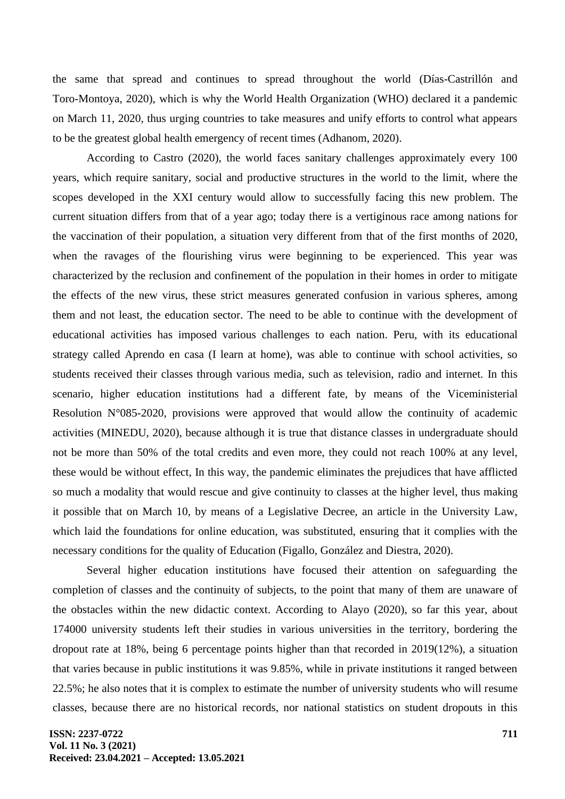the same that spread and continues to spread throughout the world (Días-Castrillón and Toro-Montoya, 2020), which is why the World Health Organization (WHO) declared it a pandemic on March 11, 2020, thus urging countries to take measures and unify efforts to control what appears to be the greatest global health emergency of recent times (Adhanom, 2020).

According to Castro (2020), the world faces sanitary challenges approximately every 100 years, which require sanitary, social and productive structures in the world to the limit, where the scopes developed in the XXI century would allow to successfully facing this new problem. The current situation differs from that of a year ago; today there is a vertiginous race among nations for the vaccination of their population, a situation very different from that of the first months of 2020, when the ravages of the flourishing virus were beginning to be experienced. This year was characterized by the reclusion and confinement of the population in their homes in order to mitigate the effects of the new virus, these strict measures generated confusion in various spheres, among them and not least, the education sector. The need to be able to continue with the development of educational activities has imposed various challenges to each nation. Peru, with its educational strategy called Aprendo en casa (I learn at home), was able to continue with school activities, so students received their classes through various media, such as television, radio and internet. In this scenario, higher education institutions had a different fate, by means of the Viceministerial Resolution N°085-2020, provisions were approved that would allow the continuity of academic activities (MINEDU, 2020), because although it is true that distance classes in undergraduate should not be more than 50% of the total credits and even more, they could not reach 100% at any level, these would be without effect, In this way, the pandemic eliminates the prejudices that have afflicted so much a modality that would rescue and give continuity to classes at the higher level, thus making it possible that on March 10, by means of a Legislative Decree, an article in the University Law, which laid the foundations for online education, was substituted, ensuring that it complies with the necessary conditions for the quality of Education (Figallo, González and Diestra, 2020).

Several higher education institutions have focused their attention on safeguarding the completion of classes and the continuity of subjects, to the point that many of them are unaware of the obstacles within the new didactic context. According to Alayo (2020), so far this year, about 174000 university students left their studies in various universities in the territory, bordering the dropout rate at 18%, being 6 percentage points higher than that recorded in 2019(12%), a situation that varies because in public institutions it was 9.85%, while in private institutions it ranged between 22.5%; he also notes that it is complex to estimate the number of university students who will resume classes, because there are no historical records, nor national statistics on student dropouts in this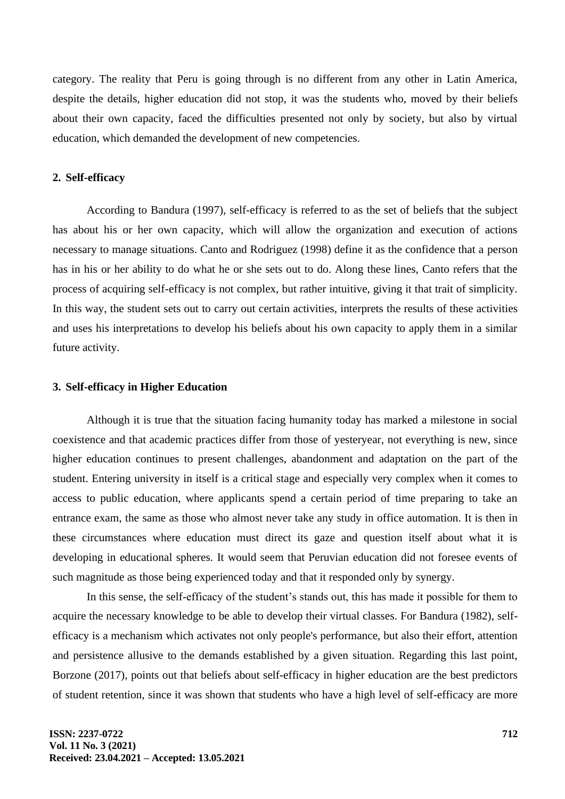category. The reality that Peru is going through is no different from any other in Latin America, despite the details, higher education did not stop, it was the students who, moved by their beliefs about their own capacity, faced the difficulties presented not only by society, but also by virtual education, which demanded the development of new competencies.

# **2. Self-efficacy**

According to Bandura (1997), self-efficacy is referred to as the set of beliefs that the subject has about his or her own capacity, which will allow the organization and execution of actions necessary to manage situations. Canto and Rodriguez (1998) define it as the confidence that a person has in his or her ability to do what he or she sets out to do. Along these lines, Canto refers that the process of acquiring self-efficacy is not complex, but rather intuitive, giving it that trait of simplicity. In this way, the student sets out to carry out certain activities, interprets the results of these activities and uses his interpretations to develop his beliefs about his own capacity to apply them in a similar future activity.

### **3. Self-efficacy in Higher Education**

Although it is true that the situation facing humanity today has marked a milestone in social coexistence and that academic practices differ from those of yesteryear, not everything is new, since higher education continues to present challenges, abandonment and adaptation on the part of the student. Entering university in itself is a critical stage and especially very complex when it comes to access to public education, where applicants spend a certain period of time preparing to take an entrance exam, the same as those who almost never take any study in office automation. It is then in these circumstances where education must direct its gaze and question itself about what it is developing in educational spheres. It would seem that Peruvian education did not foresee events of such magnitude as those being experienced today and that it responded only by synergy.

In this sense, the self-efficacy of the student's stands out, this has made it possible for them to acquire the necessary knowledge to be able to develop their virtual classes. For Bandura (1982), selfefficacy is a mechanism which activates not only people's performance, but also their effort, attention and persistence allusive to the demands established by a given situation. Regarding this last point, Borzone (2017), points out that beliefs about self-efficacy in higher education are the best predictors of student retention, since it was shown that students who have a high level of self-efficacy are more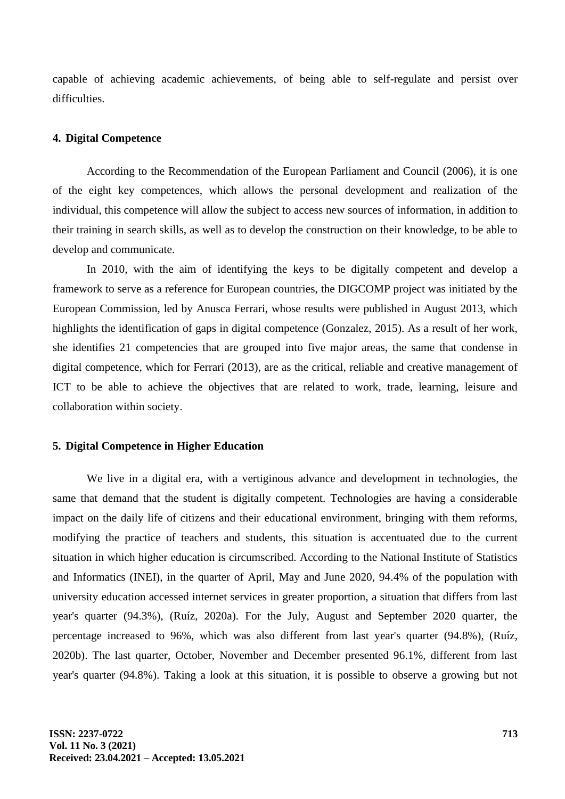capable of achieving academic achievements, of being able to self-regulate and persist over difficulties.

#### **4. Digital Competence**

According to the Recommendation of the European Parliament and Council (2006), it is one of the eight key competences, which allows the personal development and realization of the individual, this competence will allow the subject to access new sources of information, in addition to their training in search skills, as well as to develop the construction on their knowledge, to be able to develop and communicate.

In 2010, with the aim of identifying the keys to be digitally competent and develop a framework to serve as a reference for European countries, the DIGCOMP project was initiated by the European Commission, led by Anusca Ferrari, whose results were published in August 2013, which highlights the identification of gaps in digital competence (Gonzalez, 2015). As a result of her work, she identifies 21 competencies that are grouped into five major areas, the same that condense in digital competence, which for Ferrari (2013), are as the critical, reliable and creative management of ICT to be able to achieve the objectives that are related to work, trade, learning, leisure and collaboration within society.

#### **5. Digital Competence in Higher Education**

We live in a digital era, with a vertiginous advance and development in technologies, the same that demand that the student is digitally competent. Technologies are having a considerable impact on the daily life of citizens and their educational environment, bringing with them reforms, modifying the practice of teachers and students, this situation is accentuated due to the current situation in which higher education is circumscribed. According to the National Institute of Statistics and Informatics (INEI), in the quarter of April, May and June 2020, 94.4% of the population with university education accessed internet services in greater proportion, a situation that differs from last year's quarter (94.3%), (Ruíz, 2020a). For the July, August and September 2020 quarter, the percentage increased to 96%, which was also different from last year's quarter (94.8%), (Ruíz, 2020b). The last quarter, October, November and December presented 96.1%, different from last year's quarter (94.8%). Taking a look at this situation, it is possible to observe a growing but not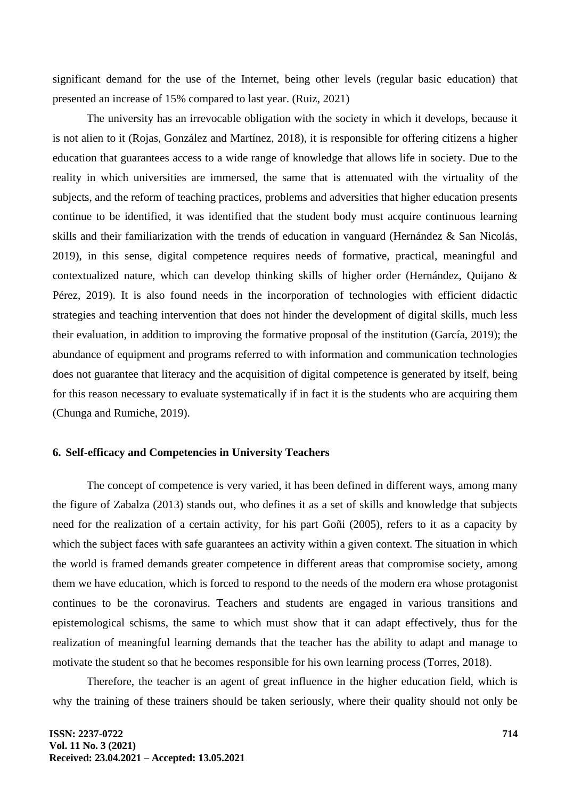significant demand for the use of the Internet, being other levels (regular basic education) that presented an increase of 15% compared to last year. (Ruiz, 2021)

The university has an irrevocable obligation with the society in which it develops, because it is not alien to it (Rojas, González and Martínez, 2018), it is responsible for offering citizens a higher education that guarantees access to a wide range of knowledge that allows life in society. Due to the reality in which universities are immersed, the same that is attenuated with the virtuality of the subjects, and the reform of teaching practices, problems and adversities that higher education presents continue to be identified, it was identified that the student body must acquire continuous learning skills and their familiarization with the trends of education in vanguard (Hernández & San Nicolás, 2019), in this sense, digital competence requires needs of formative, practical, meaningful and contextualized nature, which can develop thinking skills of higher order (Hernández, Quijano & Pérez, 2019). It is also found needs in the incorporation of technologies with efficient didactic strategies and teaching intervention that does not hinder the development of digital skills, much less their evaluation, in addition to improving the formative proposal of the institution (García, 2019); the abundance of equipment and programs referred to with information and communication technologies does not guarantee that literacy and the acquisition of digital competence is generated by itself, being for this reason necessary to evaluate systematically if in fact it is the students who are acquiring them (Chunga and Rumiche, 2019).

## **6. Self-efficacy and Competencies in University Teachers**

The concept of competence is very varied, it has been defined in different ways, among many the figure of Zabalza (2013) stands out, who defines it as a set of skills and knowledge that subjects need for the realization of a certain activity, for his part Goñi (2005), refers to it as a capacity by which the subject faces with safe guarantees an activity within a given context. The situation in which the world is framed demands greater competence in different areas that compromise society, among them we have education, which is forced to respond to the needs of the modern era whose protagonist continues to be the coronavirus. Teachers and students are engaged in various transitions and epistemological schisms, the same to which must show that it can adapt effectively, thus for the realization of meaningful learning demands that the teacher has the ability to adapt and manage to motivate the student so that he becomes responsible for his own learning process (Torres, 2018).

Therefore, the teacher is an agent of great influence in the higher education field, which is why the training of these trainers should be taken seriously, where their quality should not only be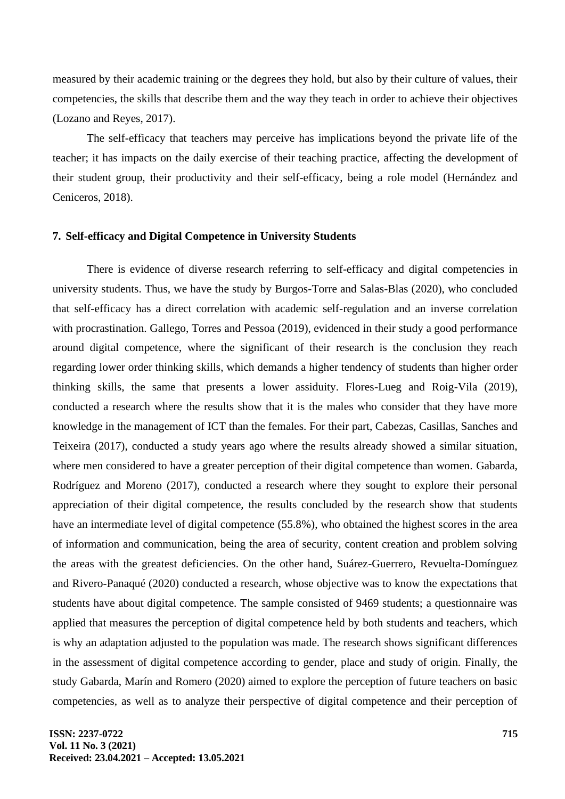measured by their academic training or the degrees they hold, but also by their culture of values, their competencies, the skills that describe them and the way they teach in order to achieve their objectives (Lozano and Reyes, 2017).

The self-efficacy that teachers may perceive has implications beyond the private life of the teacher; it has impacts on the daily exercise of their teaching practice, affecting the development of their student group, their productivity and their self-efficacy, being a role model (Hernández and Ceniceros, 2018).

# **7. Self-efficacy and Digital Competence in University Students**

There is evidence of diverse research referring to self-efficacy and digital competencies in university students. Thus, we have the study by Burgos-Torre and Salas-Blas (2020), who concluded that self-efficacy has a direct correlation with academic self-regulation and an inverse correlation with procrastination. Gallego, Torres and Pessoa (2019), evidenced in their study a good performance around digital competence, where the significant of their research is the conclusion they reach regarding lower order thinking skills, which demands a higher tendency of students than higher order thinking skills, the same that presents a lower assiduity. Flores-Lueg and Roig-Vila (2019), conducted a research where the results show that it is the males who consider that they have more knowledge in the management of ICT than the females. For their part, Cabezas, Casillas, Sanches and Teixeira (2017), conducted a study years ago where the results already showed a similar situation, where men considered to have a greater perception of their digital competence than women. Gabarda, Rodríguez and Moreno (2017), conducted a research where they sought to explore their personal appreciation of their digital competence, the results concluded by the research show that students have an intermediate level of digital competence (55.8%), who obtained the highest scores in the area of information and communication, being the area of security, content creation and problem solving the areas with the greatest deficiencies. On the other hand, Suárez-Guerrero, Revuelta-Domínguez and Rivero-Panaqué (2020) conducted a research, whose objective was to know the expectations that students have about digital competence. The sample consisted of 9469 students; a questionnaire was applied that measures the perception of digital competence held by both students and teachers, which is why an adaptation adjusted to the population was made. The research shows significant differences in the assessment of digital competence according to gender, place and study of origin. Finally, the study Gabarda, Marín and Romero (2020) aimed to explore the perception of future teachers on basic competencies, as well as to analyze their perspective of digital competence and their perception of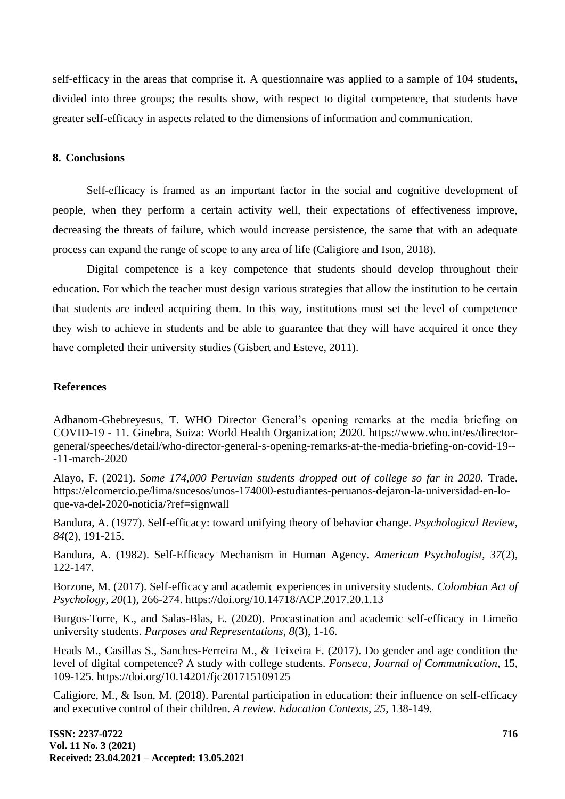self-efficacy in the areas that comprise it. A questionnaire was applied to a sample of 104 students, divided into three groups; the results show, with respect to digital competence, that students have greater self-efficacy in aspects related to the dimensions of information and communication.

### **8. Conclusions**

Self-efficacy is framed as an important factor in the social and cognitive development of people, when they perform a certain activity well, their expectations of effectiveness improve, decreasing the threats of failure, which would increase persistence, the same that with an adequate process can expand the range of scope to any area of life (Caligiore and Ison, 2018).

Digital competence is a key competence that students should develop throughout their education. For which the teacher must design various strategies that allow the institution to be certain that students are indeed acquiring them. In this way, institutions must set the level of competence they wish to achieve in students and be able to guarantee that they will have acquired it once they have completed their university studies (Gisbert and Esteve, 2011).

# **References**

Adhanom-Ghebreyesus, T. WHO Director General's opening remarks at the media briefing on COVID-19 - 11. Ginebra, Suiza: World Health Organization; 2020. [https://www.who.int/es/director](https://www.who.int/es/director-general/speeches/detail/who-director-general-s-opening-remarks-at-the-media-briefing-on-covid-19---11-march-2020)[general/speeches/detail/who-director-general-s-opening-remarks-at-the-media-briefing-on-covid-19--](https://www.who.int/es/director-general/speeches/detail/who-director-general-s-opening-remarks-at-the-media-briefing-on-covid-19---11-march-2020) [-11-march-2020](https://www.who.int/es/director-general/speeches/detail/who-director-general-s-opening-remarks-at-the-media-briefing-on-covid-19---11-march-2020)

Alayo, F. (2021). *Some 174,000 Peruvian students dropped out of college so far in 2020.* Trade. [https://elcomercio.pe/lima/sucesos/unos-174000-estudiantes-peruanos-dejaron-la-universidad-en-lo](https://elcomercio.pe/lima/sucesos/unos-174000-estudiantes-peruanos-dejaron-la-universidad-en-lo-que-va-del-2020-noticia/?ref=signwall)[que-va-del-2020-noticia/?ref=signwall](https://elcomercio.pe/lima/sucesos/unos-174000-estudiantes-peruanos-dejaron-la-universidad-en-lo-que-va-del-2020-noticia/?ref=signwall)

Bandura, A. (1977). Self-efficacy: toward unifying theory of behavior change. *Psychological Review*, *84*(2), 191-215.

Bandura, A. (1982). Self-Efficacy Mechanism in Human Agency. *American Psychologist, 37*(2), 122-147.

Borzone, M. (2017). Self-efficacy and academic experiences in university students. *Colombian Act of Psychology, 20*(1), 266-274. <https://doi.org/10.14718/ACP.2017.20.1.13>

Burgos-Torre, K., and Salas-Blas, E. (2020). Procastination and academic self-efficacy in Limeño university students. *Purposes and Representations, 8*(3), 1-16.

Heads M., Casillas S., Sanches-Ferreira M., & Teixeira F. (2017). Do gender and age condition the level of digital competence? A study with college students. *Fonseca, Journal of Communication*, 15, 109-125. https://doi.org/10.14201/fjc201715109125

Caligiore, M., & Ison, M. (2018). Parental participation in education: their influence on self-efficacy and executive control of their children. *A review. Education Contexts, 25*, 138-149.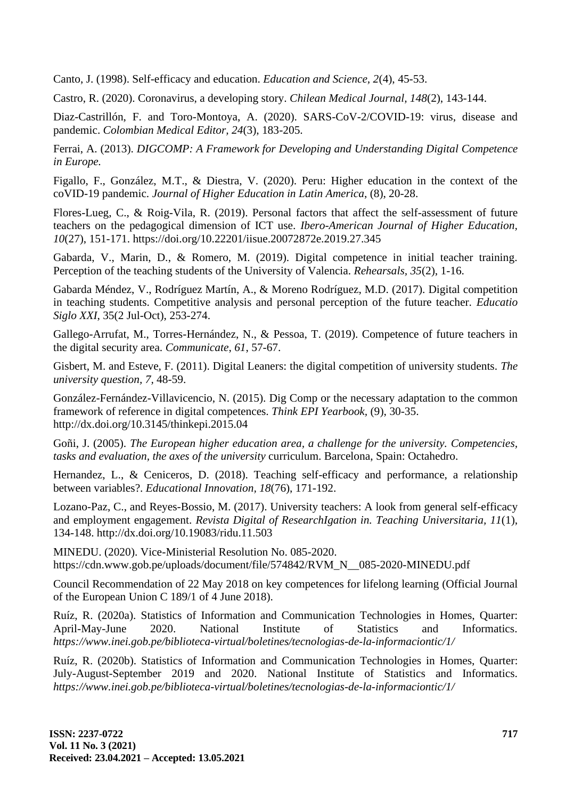Canto, J. (1998). Self-efficacy and education. *Education and Science, 2*(4), 45-53.

Castro, R. (2020). Coronavirus, a developing story. *Chilean Medical Journal, 148*(2), 143-144.

Diaz-Castrillón, F. and Toro-Montoya, A. (2020). SARS-CoV-2/COVID-19: virus, disease and pandemic. *Colombian Medical Editor, 24*(3), 183-205.

Ferrai, A. (2013). *DIGCOMP: A Framework for Developing and Understanding Digital Competence in Europe.*

Figallo, F., González, M.T., & Diestra, V. (2020). Peru: Higher education in the context of the coVID-19 pandemic. *Journal of Higher Education in Latin America*, (8), 20-28.

Flores-Lueg, C., & Roig-Vila, R. (2019). Personal factors that affect the self-assessment of future teachers on the pedagogical dimension of ICT use. *Ibero-American Journal of Higher Education, 10*(27), 151-171. <https://doi.org/10.22201/iisue.20072872e.2019.27.345>

Gabarda, V., Marin, D., & Romero, M. (2019). Digital competence in initial teacher training. Perception of the teaching students of the University of Valencia. *Rehearsals, 35*(2), 1-16.

Gabarda Méndez, V., Rodríguez Martín, A., & Moreno Rodríguez, M.D. (2017). Digital competition in teaching students. Competitive analysis and personal perception of the future teacher. *Educatio Siglo XXI*, 35(2 Jul-Oct), 253-274.

Gallego-Arrufat, M., Torres-Hernández, N., & Pessoa, T. (2019). Competence of future teachers in the digital security area. *Communicate*, *61*, 57-67.

Gisbert, M. and Esteve, F. (2011). Digital Leaners: the digital competition of university students. *The university question, 7,* 48-59.

González-Fernández-Villavicencio, N. (2015). Dig Comp or the necessary adaptation to the common framework of reference in digital competences. *Think EPI Yearbook,* (9), 30-35. <http://dx.doi.org/10.3145/thinkepi.2015.04>

Goñi, J. (2005). *The European higher education area, a challenge for the university. Competencies, tasks and evaluation, the axes of the university* curriculum. Barcelona, Spain: Octahedro.

Hernandez, L., & Ceniceros, D. (2018). Teaching self-efficacy and performance, a relationship between variables?. *Educational Innovation, 18*(76), 171-192.

Lozano-Paz, C., and Reyes-Bossio, M. (2017). University teachers: A look from general self-efficacy and employment engagement. *Revista Digital of ResearchIgation in. Teaching Universitaria, 11*(1), 134-148. <http://dx.doi.org/10.19083/ridu.11.503>

MINEDU. (2020). Vice-Ministerial Resolution No. 085-2020. [https://cdn.www.gob.pe/uploads/document/file/574842/RVM\\_N\\_\\_085-2020-MINEDU.pdf](https://cdn.www.gob.pe/uploads/document/file/574842/RVM_N__085-2020-MINEDU.pdf)

Council Recommendation of 22 May 2018 on key competences for lifelong learning (Official Journal of the European Union C 189/1 of 4 June 2018).

Ruíz, R. (2020a). Statistics of Information and Communication Technologies in Homes, Quarter: April-May-June 2020. National Institute of Statistics and Informatics. *<https://www.inei.gob.pe/biblioteca-virtual/boletines/tecnologias-de-la-informaciontic/1/>*

Ruíz, R. (2020b). Statistics of Information and Communication Technologies in Homes, Quarter: July-August-September 2019 and 2020. National Institute of Statistics and Informatics. *<https://www.inei.gob.pe/biblioteca-virtual/boletines/tecnologias-de-la-informaciontic/1/>*